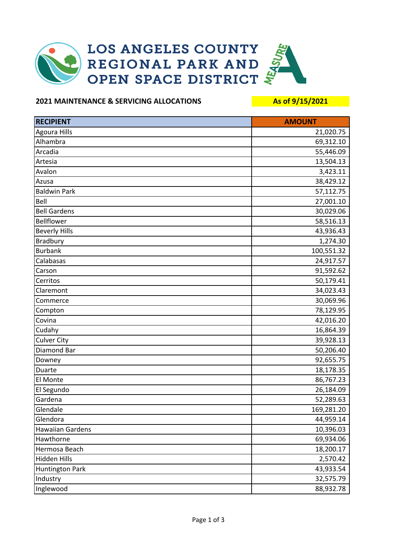

## **2021 MAINTENANCE & SERVICING ALLOCATIONS As of 9/15/2021**

| <b>RECIPIENT</b>       | <b>AMOUNT</b> |
|------------------------|---------------|
| Agoura Hills           | 21,020.75     |
| Alhambra               | 69,312.10     |
| Arcadia                | 55,446.09     |
| Artesia                | 13,504.13     |
| Avalon                 | 3,423.11      |
| Azusa                  | 38,429.12     |
| <b>Baldwin Park</b>    | 57,112.75     |
| Bell                   | 27,001.10     |
| <b>Bell Gardens</b>    | 30,029.06     |
| Bellflower             | 58,516.13     |
| <b>Beverly Hills</b>   | 43,936.43     |
| <b>Bradbury</b>        | 1,274.30      |
| <b>Burbank</b>         | 100,551.32    |
| Calabasas              | 24,917.57     |
| Carson                 | 91,592.62     |
| Cerritos               | 50,179.41     |
| Claremont              | 34,023.43     |
| Commerce               | 30,069.96     |
| Compton                | 78,129.95     |
| Covina                 | 42,016.20     |
| Cudahy                 | 16,864.39     |
| <b>Culver City</b>     | 39,928.13     |
| Diamond Bar            | 50,206.40     |
| Downey                 | 92,655.75     |
| Duarte                 | 18,178.35     |
| El Monte               | 86,767.23     |
| El Segundo             | 26,184.09     |
| Gardena                | 52,289.63     |
| Glendale               | 169,281.20    |
| Glendora               | 44,959.14     |
| Hawaiian Gardens       | 10,396.03     |
| Hawthorne              | 69,934.06     |
| Hermosa Beach          | 18,200.17     |
| Hidden Hills           | 2,570.42      |
| <b>Huntington Park</b> | 43,933.54     |
| Industry               | 32,575.79     |
| Inglewood              | 88,932.78     |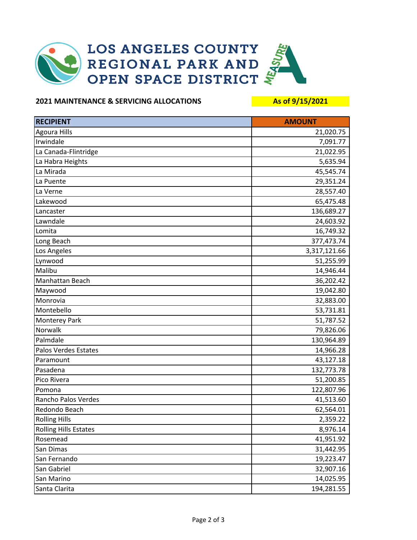

## **2021 MAINTENANCE & SERVICING ALLOCATIONS As of 9/15/2021**

| <b>RECIPIENT</b>             | <b>AMOUNT</b> |
|------------------------------|---------------|
| <b>Agoura Hills</b>          | 21,020.75     |
| Irwindale                    | 7,091.77      |
| La Canada-Flintridge         | 21,022.95     |
| La Habra Heights             | 5,635.94      |
| La Mirada                    | 45,545.74     |
| La Puente                    | 29,351.24     |
| La Verne                     | 28,557.40     |
| Lakewood                     | 65,475.48     |
| Lancaster                    | 136,689.27    |
| Lawndale                     | 24,603.92     |
| Lomita                       | 16,749.32     |
| Long Beach                   | 377,473.74    |
| Los Angeles                  | 3,317,121.66  |
| Lynwood                      | 51,255.99     |
| Malibu                       | 14,946.44     |
| Manhattan Beach              | 36,202.42     |
| Maywood                      | 19,042.80     |
| Monrovia                     | 32,883.00     |
| Montebello                   | 53,731.81     |
| Monterey Park                | 51,787.52     |
| Norwalk                      | 79,826.06     |
| Palmdale                     | 130,964.89    |
| Palos Verdes Estates         | 14,966.28     |
| Paramount                    | 43,127.18     |
| Pasadena                     | 132,773.78    |
| Pico Rivera                  | 51,200.85     |
| Pomona                       | 122,807.96    |
| Rancho Palos Verdes          | 41,513.60     |
| Redondo Beach                | 62,564.01     |
| <b>Rolling Hills</b>         | 2,359.22      |
| <b>Rolling Hills Estates</b> | 8,976.14      |
| Rosemead                     | 41,951.92     |
| San Dimas                    | 31,442.95     |
| San Fernando                 | 19,223.47     |
| San Gabriel                  | 32,907.16     |
| San Marino                   | 14,025.95     |
| Santa Clarita                | 194,281.55    |